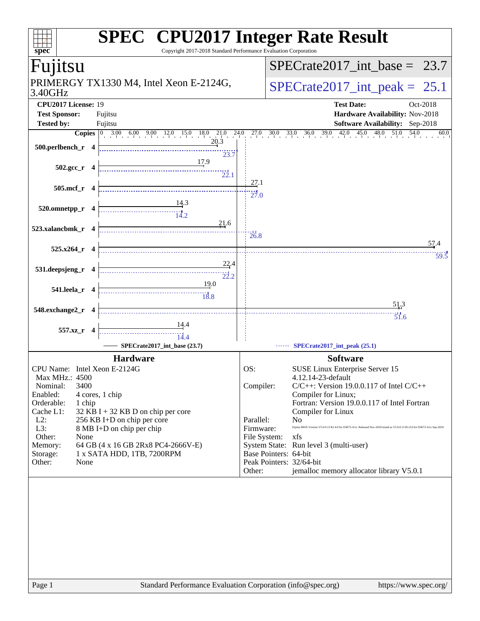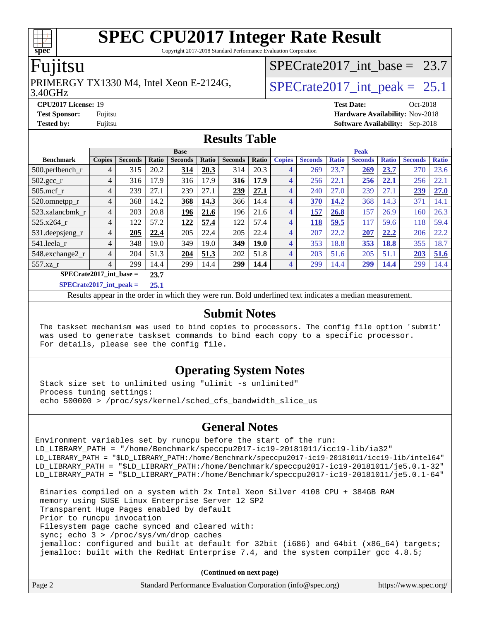Copyright 2017-2018 Standard Performance Evaluation Corporation

### Fujitsu

**[spec](http://www.spec.org/)**

#### 3.40GHz PRIMERGY TX1330 M4, Intel Xeon E-2124G,  $\vert$  SPECrate 2017 int peak = 25.1

# [SPECrate2017\\_int\\_base =](http://www.spec.org/auto/cpu2017/Docs/result-fields.html#SPECrate2017intbase) 23.7

**[CPU2017 License:](http://www.spec.org/auto/cpu2017/Docs/result-fields.html#CPU2017License)** 19 **[Test Date:](http://www.spec.org/auto/cpu2017/Docs/result-fields.html#TestDate)** Oct-2018 **[Test Sponsor:](http://www.spec.org/auto/cpu2017/Docs/result-fields.html#TestSponsor)** Fujitsu **[Hardware Availability:](http://www.spec.org/auto/cpu2017/Docs/result-fields.html#HardwareAvailability)** Nov-2018 **[Tested by:](http://www.spec.org/auto/cpu2017/Docs/result-fields.html#Testedby)** Fujitsu **[Software Availability:](http://www.spec.org/auto/cpu2017/Docs/result-fields.html#SoftwareAvailability)** Sep-2018

#### **[Results Table](http://www.spec.org/auto/cpu2017/Docs/result-fields.html#ResultsTable)**

|                             | <b>Base</b>    |                |       |                |       | <b>Peak</b>    |       |                |                |              |                |              |                |              |
|-----------------------------|----------------|----------------|-------|----------------|-------|----------------|-------|----------------|----------------|--------------|----------------|--------------|----------------|--------------|
| <b>Benchmark</b>            | <b>Copies</b>  | <b>Seconds</b> | Ratio | <b>Seconds</b> | Ratio | <b>Seconds</b> | Ratio | <b>Copies</b>  | <b>Seconds</b> | <b>Ratio</b> | <b>Seconds</b> | <b>Ratio</b> | <b>Seconds</b> | <b>Ratio</b> |
| 500.perlbench_r             | 4              | 315            | 20.2  | 314            | 20.3  | 314            | 20.3  | $\overline{4}$ | 269            | 23.7         | 269            | 23.7         | 270            | 23.6         |
| 502.gcc_r                   | 4              | 316            | 17.9  | 316            | 17.9  | 316            | 17.9  | 4              | 256            | 22.1         | 256            | 22.1         | 256            | 22.1         |
| $505$ .mcf r                | $\overline{4}$ | 239            | 27.1  | 239            | 27.1  | 239            | 27.1  | 4              | 240            | 27.0         | 239            | 27.1         | 239            | 27.0         |
| 520.omnetpp_r               | 4              | 368            | 14.2  | 368            | 14.3  | 366            | 14.4  | $\overline{4}$ | 370            | 14.2         | 368            | 14.3         | 371            | 14.1         |
| 523.xalancbmk_r             | 4              | 203            | 20.8  | 196            | 21.6  | 196            | 21.6  | 4              | 157            | 26.8         | 157            | 26.9         | 160            | 26.3         |
| 525.x264 r                  | 4              | 122            | 57.2  | 122            | 57.4  | 122            | 57.4  | 4              | 118            | 59.5         | 117            | 59.6         | 118            | 59.4         |
| 531.deepsjeng_r             | 4              | 205            | 22.4  | 205            | 22.4  | 205            | 22.4  | 4              | 207            | 22.2         | 207            | 22.2         | 206            | 22.2         |
| 541.leela_r                 | 4              | 348            | 19.0  | 349            | 19.0  | 349            | 19.0  | 4              | 353            | 18.8         | 353            | 18.8         | 355            | 18.7         |
| 548.exchange2_r             | $\overline{4}$ | 204            | 51.3  | 204            | 51.3  | 202            | 51.8  | 4              | 203            | 51.6         | 205            | 51.1         | 203            | 51.6         |
| 557.xz r                    | $\overline{4}$ | 299            | 14.4  | 299            | 14.4  | 299            | 14.4  | 4              | 299            | 14.4         | 299            | 14.4         | 299            | 14.4         |
| $SPECrate2017\_int\_base =$ |                |                | 23.7  |                |       |                |       |                |                |              |                |              |                |              |
| $CDDCD = 1.4047 + 1.1$      |                |                | $- -$ |                |       |                |       |                |                |              |                |              |                |              |

**[SPECrate2017\\_int\\_peak =](http://www.spec.org/auto/cpu2017/Docs/result-fields.html#SPECrate2017intpeak) 25.1**

Results appear in the [order in which they were run](http://www.spec.org/auto/cpu2017/Docs/result-fields.html#RunOrder). Bold underlined text [indicates a median measurement](http://www.spec.org/auto/cpu2017/Docs/result-fields.html#Median).

#### **[Submit Notes](http://www.spec.org/auto/cpu2017/Docs/result-fields.html#SubmitNotes)**

 The taskset mechanism was used to bind copies to processors. The config file option 'submit' was used to generate taskset commands to bind each copy to a specific processor. For details, please see the config file.

### **[Operating System Notes](http://www.spec.org/auto/cpu2017/Docs/result-fields.html#OperatingSystemNotes)**

 Stack size set to unlimited using "ulimit -s unlimited" Process tuning settings: echo 500000 > /proc/sys/kernel/sched\_cfs\_bandwidth\_slice\_us

### **[General Notes](http://www.spec.org/auto/cpu2017/Docs/result-fields.html#GeneralNotes)**

Environment variables set by runcpu before the start of the run: LD\_LIBRARY\_PATH = "/home/Benchmark/speccpu2017-ic19-20181011/icc19-lib/ia32" LD\_LIBRARY\_PATH = "\$LD\_LIBRARY\_PATH:/home/Benchmark/speccpu2017-ic19-20181011/icc19-lib/intel64" LD\_LIBRARY\_PATH = "\$LD\_LIBRARY\_PATH:/home/Benchmark/speccpu2017-ic19-20181011/je5.0.1-32" LD\_LIBRARY\_PATH = "\$LD\_LIBRARY\_PATH:/home/Benchmark/speccpu2017-ic19-20181011/je5.0.1-64"

 Binaries compiled on a system with 2x Intel Xeon Silver 4108 CPU + 384GB RAM memory using SUSE Linux Enterprise Server 12 SP2 Transparent Huge Pages enabled by default Prior to runcpu invocation Filesystem page cache synced and cleared with: sync; echo 3 > /proc/sys/vm/drop\_caches jemalloc: configured and built at default for 32bit (i686) and 64bit (x86\_64) targets; jemalloc: built with the RedHat Enterprise 7.4, and the system compiler gcc 4.8.5;

**(Continued on next page)**

| Page 2 | Standard Performance Evaluation Corporation (info@spec.org) | https://www.spec.org/ |
|--------|-------------------------------------------------------------|-----------------------|
|        |                                                             |                       |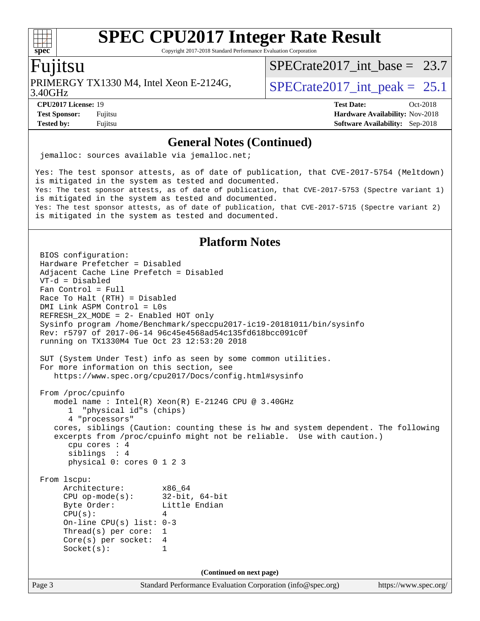Copyright 2017-2018 Standard Performance Evaluation Corporation

### Fujitsu

3.40GHz PRIMERGY TX1330 M4, Intel Xeon E-2124G,  $\vert$  SPECrate 2017 int peak = 25.1

SPECrate2017 int\_base =  $23.7$ 

**[CPU2017 License:](http://www.spec.org/auto/cpu2017/Docs/result-fields.html#CPU2017License)** 19 **[Test Date:](http://www.spec.org/auto/cpu2017/Docs/result-fields.html#TestDate)** Oct-2018

**[Test Sponsor:](http://www.spec.org/auto/cpu2017/Docs/result-fields.html#TestSponsor)** Fujitsu **Fundal** Fujitsu **[Hardware Availability:](http://www.spec.org/auto/cpu2017/Docs/result-fields.html#HardwareAvailability)** Nov-2018 **[Tested by:](http://www.spec.org/auto/cpu2017/Docs/result-fields.html#Testedby)** Fujitsu **[Software Availability:](http://www.spec.org/auto/cpu2017/Docs/result-fields.html#SoftwareAvailability)** Sep-2018

### **[General Notes \(Continued\)](http://www.spec.org/auto/cpu2017/Docs/result-fields.html#GeneralNotes)**

jemalloc: sources available via jemalloc.net;

Yes: The test sponsor attests, as of date of publication, that CVE-2017-5754 (Meltdown) is mitigated in the system as tested and documented. Yes: The test sponsor attests, as of date of publication, that CVE-2017-5753 (Spectre variant 1) is mitigated in the system as tested and documented. Yes: The test sponsor attests, as of date of publication, that CVE-2017-5715 (Spectre variant 2) is mitigated in the system as tested and documented.

#### **[Platform Notes](http://www.spec.org/auto/cpu2017/Docs/result-fields.html#PlatformNotes)**

Page 3 Standard Performance Evaluation Corporation [\(info@spec.org\)](mailto:info@spec.org) <https://www.spec.org/> BIOS configuration: Hardware Prefetcher = Disabled Adjacent Cache Line Prefetch = Disabled VT-d = Disabled Fan Control = Full Race To Halt (RTH) = Disabled DMI Link ASPM Control = L0s REFRESH\_2X\_MODE = 2- Enabled HOT only Sysinfo program /home/Benchmark/speccpu2017-ic19-20181011/bin/sysinfo Rev: r5797 of 2017-06-14 96c45e4568ad54c135fd618bcc091c0f running on TX1330M4 Tue Oct 23 12:53:20 2018 SUT (System Under Test) info as seen by some common utilities. For more information on this section, see <https://www.spec.org/cpu2017/Docs/config.html#sysinfo> From /proc/cpuinfo model name : Intel(R) Xeon(R) E-2124G CPU @ 3.40GHz 1 "physical id"s (chips) 4 "processors" cores, siblings (Caution: counting these is hw and system dependent. The following excerpts from /proc/cpuinfo might not be reliable. Use with caution.) cpu cores : 4 siblings : 4 physical 0: cores 0 1 2 3 From lscpu: Architecture: x86\_64 CPU op-mode(s): 32-bit, 64-bit Byte Order: Little Endian  $CPU(s):$  4 On-line CPU(s) list: 0-3 Thread(s) per core: 1 Core(s) per socket: 4 Socket(s): 1 **(Continued on next page)**

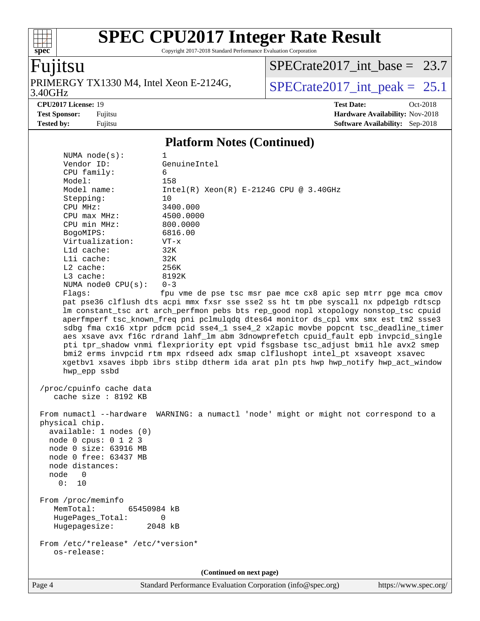Copyright 2017-2018 Standard Performance Evaluation Corporation

# Fujitsu

**[spec](http://www.spec.org/)**

 $+\!\!+\!\!$ 

3.40GHz PRIMERGY TX1330 M4, Intel Xeon E-2124G,  $SPECrate2017\_int\_peak = 25.1$ 

[SPECrate2017\\_int\\_base =](http://www.spec.org/auto/cpu2017/Docs/result-fields.html#SPECrate2017intbase) 23.7

**[CPU2017 License:](http://www.spec.org/auto/cpu2017/Docs/result-fields.html#CPU2017License)** 19 **[Test Date:](http://www.spec.org/auto/cpu2017/Docs/result-fields.html#TestDate)** Oct-2018 **[Test Sponsor:](http://www.spec.org/auto/cpu2017/Docs/result-fields.html#TestSponsor)** Fujitsu **[Hardware Availability:](http://www.spec.org/auto/cpu2017/Docs/result-fields.html#HardwareAvailability)** Nov-2018 **[Tested by:](http://www.spec.org/auto/cpu2017/Docs/result-fields.html#Testedby)** Fujitsu **[Software Availability:](http://www.spec.org/auto/cpu2017/Docs/result-fields.html#SoftwareAvailability)** Sep-2018

#### **[Platform Notes \(Continued\)](http://www.spec.org/auto/cpu2017/Docs/result-fields.html#PlatformNotes)**

| NUMA $node(s):$                                                                                                                                                                        | 1                                                                                                                                                                                                                                                                                                                                                                                                                                                                                                                                                                                                                                                                                                                                                                          |
|----------------------------------------------------------------------------------------------------------------------------------------------------------------------------------------|----------------------------------------------------------------------------------------------------------------------------------------------------------------------------------------------------------------------------------------------------------------------------------------------------------------------------------------------------------------------------------------------------------------------------------------------------------------------------------------------------------------------------------------------------------------------------------------------------------------------------------------------------------------------------------------------------------------------------------------------------------------------------|
| Vendor ID:                                                                                                                                                                             | GenuineIntel                                                                                                                                                                                                                                                                                                                                                                                                                                                                                                                                                                                                                                                                                                                                                               |
| CPU family:                                                                                                                                                                            | 6                                                                                                                                                                                                                                                                                                                                                                                                                                                                                                                                                                                                                                                                                                                                                                          |
| Model:                                                                                                                                                                                 | 158                                                                                                                                                                                                                                                                                                                                                                                                                                                                                                                                                                                                                                                                                                                                                                        |
| Model name:                                                                                                                                                                            | $Intel(R) Xeon(R) E-2124G CPU @ 3.40GHz$                                                                                                                                                                                                                                                                                                                                                                                                                                                                                                                                                                                                                                                                                                                                   |
| Stepping:                                                                                                                                                                              | 10                                                                                                                                                                                                                                                                                                                                                                                                                                                                                                                                                                                                                                                                                                                                                                         |
| CPU MHz:                                                                                                                                                                               | 3400.000                                                                                                                                                                                                                                                                                                                                                                                                                                                                                                                                                                                                                                                                                                                                                                   |
| CPU max MHz:                                                                                                                                                                           | 4500.0000                                                                                                                                                                                                                                                                                                                                                                                                                                                                                                                                                                                                                                                                                                                                                                  |
| CPU min MHz:                                                                                                                                                                           | 800.0000                                                                                                                                                                                                                                                                                                                                                                                                                                                                                                                                                                                                                                                                                                                                                                   |
| BogoMIPS:                                                                                                                                                                              | 6816.00                                                                                                                                                                                                                                                                                                                                                                                                                                                                                                                                                                                                                                                                                                                                                                    |
| Virtualization:                                                                                                                                                                        | $VT - x$                                                                                                                                                                                                                                                                                                                                                                                                                                                                                                                                                                                                                                                                                                                                                                   |
| L1d cache:                                                                                                                                                                             | 32K                                                                                                                                                                                                                                                                                                                                                                                                                                                                                                                                                                                                                                                                                                                                                                        |
| Lli cache:                                                                                                                                                                             | 32K                                                                                                                                                                                                                                                                                                                                                                                                                                                                                                                                                                                                                                                                                                                                                                        |
| L2 cache:                                                                                                                                                                              | 256K                                                                                                                                                                                                                                                                                                                                                                                                                                                                                                                                                                                                                                                                                                                                                                       |
| $L3$ cache:                                                                                                                                                                            | 8192K                                                                                                                                                                                                                                                                                                                                                                                                                                                                                                                                                                                                                                                                                                                                                                      |
| NUMA node0 CPU(s):                                                                                                                                                                     | $0 - 3$                                                                                                                                                                                                                                                                                                                                                                                                                                                                                                                                                                                                                                                                                                                                                                    |
| Flags:<br>hwp_epp ssbd                                                                                                                                                                 | fpu vme de pse tsc msr pae mce cx8 apic sep mtrr pge mca cmov<br>pat pse36 clflush dts acpi mmx fxsr sse sse2 ss ht tm pbe syscall nx pdpelgb rdtscp<br>lm constant_tsc art arch_perfmon pebs bts rep_good nopl xtopology nonstop_tsc cpuid<br>aperfmperf tsc_known_freq pni pclmulqdq dtes64 monitor ds_cpl vmx smx est tm2 ssse3<br>sdbg fma cx16 xtpr pdcm pcid sse4_1 sse4_2 x2apic movbe popcnt tsc_deadline_timer<br>aes xsave avx f16c rdrand lahf_lm abm 3dnowprefetch cpuid_fault epb invpcid_single<br>pti tpr_shadow vnmi flexpriority ept vpid fsgsbase tsc_adjust bmil hle avx2 smep<br>bmi2 erms invpcid rtm mpx rdseed adx smap clflushopt intel_pt xsaveopt xsavec<br>xgetbvl xsaves ibpb ibrs stibp dtherm ida arat pln pts hwp hwp_notify hwp_act_window |
| /proc/cpuinfo cache data<br>cache size : 8192 KB                                                                                                                                       |                                                                                                                                                                                                                                                                                                                                                                                                                                                                                                                                                                                                                                                                                                                                                                            |
| From numactl --hardware<br>physical chip.<br>available: 1 nodes (0)<br>node 0 cpus: 0 1 2 3<br>node 0 size: 63916 MB<br>node 0 free: 63437 MB<br>node distances:<br>node 0<br>0:<br>10 | WARNING: a numactl 'node' might or might not correspond to a                                                                                                                                                                                                                                                                                                                                                                                                                                                                                                                                                                                                                                                                                                               |
| From /proc/meminfo<br>MemTotal:<br>65450984 KB<br>HugePages_Total:<br>Hugepagesize:                                                                                                    | $\Omega$<br>2048 kB                                                                                                                                                                                                                                                                                                                                                                                                                                                                                                                                                                                                                                                                                                                                                        |
| From /etc/*release* /etc/*version*<br>os-release:                                                                                                                                      |                                                                                                                                                                                                                                                                                                                                                                                                                                                                                                                                                                                                                                                                                                                                                                            |
|                                                                                                                                                                                        | (Continued on next page)                                                                                                                                                                                                                                                                                                                                                                                                                                                                                                                                                                                                                                                                                                                                                   |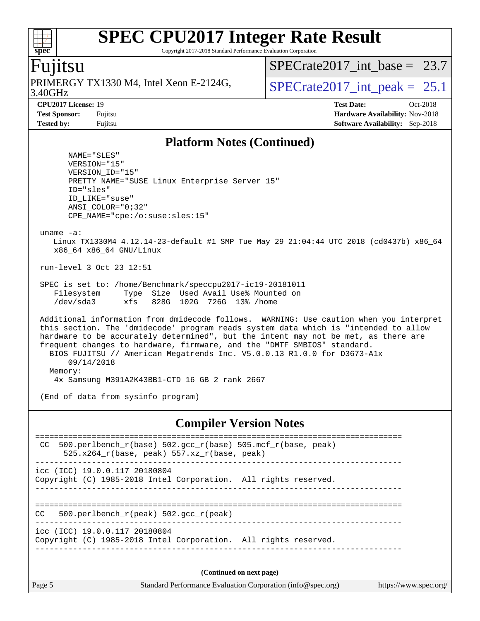Copyright 2017-2018 Standard Performance Evaluation Corporation

### Fujitsu

**[spec](http://www.spec.org/)**

3.40GHz PRIMERGY TX1330 M4, Intel Xeon E-2124G,  $\vert$  SPECrate 2017 int peak = 25.1

SPECrate2017 int\_base =  $23.7$ 

**[CPU2017 License:](http://www.spec.org/auto/cpu2017/Docs/result-fields.html#CPU2017License)** 19 **[Test Date:](http://www.spec.org/auto/cpu2017/Docs/result-fields.html#TestDate)** Oct-2018 **[Test Sponsor:](http://www.spec.org/auto/cpu2017/Docs/result-fields.html#TestSponsor)** Fujitsu **[Hardware Availability:](http://www.spec.org/auto/cpu2017/Docs/result-fields.html#HardwareAvailability)** Nov-2018 **[Tested by:](http://www.spec.org/auto/cpu2017/Docs/result-fields.html#Testedby)** Fujitsu **[Software Availability:](http://www.spec.org/auto/cpu2017/Docs/result-fields.html#SoftwareAvailability)** Sep-2018

#### **[Platform Notes \(Continued\)](http://www.spec.org/auto/cpu2017/Docs/result-fields.html#PlatformNotes)**

 NAME="SLES" VERSION="15" VERSION\_ID="15" PRETTY\_NAME="SUSE Linux Enterprise Server 15" ID="sles" ID\_LIKE="suse" ANSI\_COLOR="0;32" CPE\_NAME="cpe:/o:suse:sles:15" uname -a: Linux TX1330M4 4.12.14-23-default #1 SMP Tue May 29 21:04:44 UTC 2018 (cd0437b) x86\_64 x86\_64 x86\_64 GNU/Linux run-level 3 Oct 23 12:51 SPEC is set to: /home/Benchmark/speccpu2017-ic19-20181011 Filesystem Type Size Used Avail Use% Mounted on /dev/sda3 xfs 828G 102G 726G 13% /home Additional information from dmidecode follows. WARNING: Use caution when you interpret this section. The 'dmidecode' program reads system data which is "intended to allow hardware to be accurately determined", but the intent may not be met, as there are frequent changes to hardware, firmware, and the "DMTF SMBIOS" standard. BIOS FUJITSU // American Megatrends Inc. V5.0.0.13 R1.0.0 for D3673-A1x 09/14/2018 Memory: 4x Samsung M391A2K43BB1-CTD 16 GB 2 rank 2667 (End of data from sysinfo program)

#### **[Compiler Version Notes](http://www.spec.org/auto/cpu2017/Docs/result-fields.html#CompilerVersionNotes)**

============================================================================== CC 500.perlbench  $r(base)$  502.gcc  $r(base)$  505.mcf  $r(base, peak)$  $525.x264_r(base, peak)$   $557.xz_r(base, peak)$ ----------------------------------------------------------------------------- icc (ICC) 19.0.0.117 20180804 Copyright (C) 1985-2018 Intel Corporation. All rights reserved. ------------------------------------------------------------------------------ ============================================================================== CC 500.perlbench\_r(peak) 502.gcc\_r(peak) ----------------------------------------------------------------------------- icc (ICC) 19.0.0.117 20180804 Copyright (C) 1985-2018 Intel Corporation. All rights reserved. ------------------------------------------------------------------------------

**(Continued on next page)**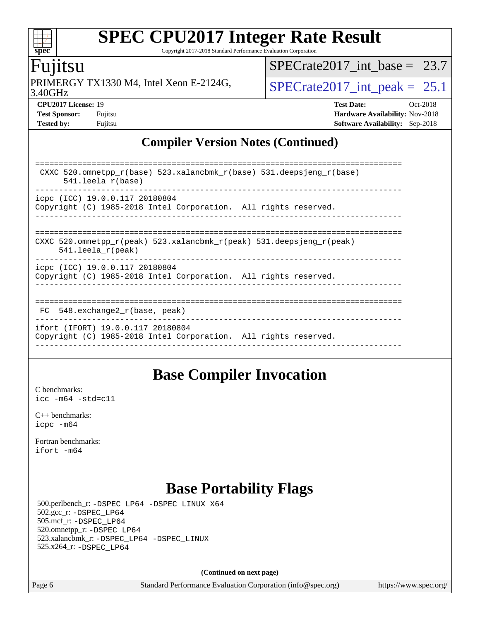Copyright 2017-2018 Standard Performance Evaluation Corporation

### Fujitsu

3.40GHz PRIMERGY TX1330 M4, Intel Xeon E-2124G,  $\vert$  [SPECrate2017\\_int\\_peak =](http://www.spec.org/auto/cpu2017/Docs/result-fields.html#SPECrate2017intpeak) 25.1

SPECrate2017 int\_base =  $23.7$ 

**[CPU2017 License:](http://www.spec.org/auto/cpu2017/Docs/result-fields.html#CPU2017License)** 19 **[Test Date:](http://www.spec.org/auto/cpu2017/Docs/result-fields.html#TestDate)** Oct-2018 **[Test Sponsor:](http://www.spec.org/auto/cpu2017/Docs/result-fields.html#TestSponsor)** Fujitsu **[Hardware Availability:](http://www.spec.org/auto/cpu2017/Docs/result-fields.html#HardwareAvailability)** Nov-2018 **[Tested by:](http://www.spec.org/auto/cpu2017/Docs/result-fields.html#Testedby)** Fujitsu **[Software Availability:](http://www.spec.org/auto/cpu2017/Docs/result-fields.html#SoftwareAvailability)** Sep-2018

### **[Compiler Version Notes \(Continued\)](http://www.spec.org/auto/cpu2017/Docs/result-fields.html#CompilerVersionNotes)**

| CXXC 520.omnetpp $r(base)$ 523.xalancbmk $r(base)$ 531.deepsjeng $r(base)$<br>$541.$ leela r(base)                      |
|-------------------------------------------------------------------------------------------------------------------------|
| icpc (ICC) 19.0.0.117 20180804<br>Copyright (C) 1985-2018 Intel Corporation. All rights reserved.                       |
| CXXC 520.omnetpp $r(\text{peak})$ 523.xalancbmk $r(\text{peak})$ 531.deepsjeng $r(\text{peak})$<br>$541.$ leela r(peak) |
| icpc (ICC) 19.0.0.117 20180804<br>Copyright (C) 1985-2018 Intel Corporation. All rights reserved.                       |
| $FC$ 548. exchange2 $r(base, peak)$                                                                                     |
| ifort (IFORT) 19.0.0.117 20180804<br>Copyright (C) 1985-2018 Intel Corporation. All rights reserved.                    |

### **[Base Compiler Invocation](http://www.spec.org/auto/cpu2017/Docs/result-fields.html#BaseCompilerInvocation)**

[C benchmarks](http://www.spec.org/auto/cpu2017/Docs/result-fields.html#Cbenchmarks): [icc -m64 -std=c11](http://www.spec.org/cpu2017/results/res2018q4/cpu2017-20181030-09463.flags.html#user_CCbase_intel_icc_64bit_c11_33ee0cdaae7deeeab2a9725423ba97205ce30f63b9926c2519791662299b76a0318f32ddfffdc46587804de3178b4f9328c46fa7c2b0cd779d7a61945c91cd35)

[C++ benchmarks:](http://www.spec.org/auto/cpu2017/Docs/result-fields.html#CXXbenchmarks) [icpc -m64](http://www.spec.org/cpu2017/results/res2018q4/cpu2017-20181030-09463.flags.html#user_CXXbase_intel_icpc_64bit_4ecb2543ae3f1412ef961e0650ca070fec7b7afdcd6ed48761b84423119d1bf6bdf5cad15b44d48e7256388bc77273b966e5eb805aefd121eb22e9299b2ec9d9)

[Fortran benchmarks](http://www.spec.org/auto/cpu2017/Docs/result-fields.html#Fortranbenchmarks): [ifort -m64](http://www.spec.org/cpu2017/results/res2018q4/cpu2017-20181030-09463.flags.html#user_FCbase_intel_ifort_64bit_24f2bb282fbaeffd6157abe4f878425411749daecae9a33200eee2bee2fe76f3b89351d69a8130dd5949958ce389cf37ff59a95e7a40d588e8d3a57e0c3fd751)

# **[Base Portability Flags](http://www.spec.org/auto/cpu2017/Docs/result-fields.html#BasePortabilityFlags)**

 500.perlbench\_r: [-DSPEC\\_LP64](http://www.spec.org/cpu2017/results/res2018q4/cpu2017-20181030-09463.flags.html#b500.perlbench_r_basePORTABILITY_DSPEC_LP64) [-DSPEC\\_LINUX\\_X64](http://www.spec.org/cpu2017/results/res2018q4/cpu2017-20181030-09463.flags.html#b500.perlbench_r_baseCPORTABILITY_DSPEC_LINUX_X64) 502.gcc\_r: [-DSPEC\\_LP64](http://www.spec.org/cpu2017/results/res2018q4/cpu2017-20181030-09463.flags.html#suite_basePORTABILITY502_gcc_r_DSPEC_LP64) 505.mcf\_r: [-DSPEC\\_LP64](http://www.spec.org/cpu2017/results/res2018q4/cpu2017-20181030-09463.flags.html#suite_basePORTABILITY505_mcf_r_DSPEC_LP64) 520.omnetpp\_r: [-DSPEC\\_LP64](http://www.spec.org/cpu2017/results/res2018q4/cpu2017-20181030-09463.flags.html#suite_basePORTABILITY520_omnetpp_r_DSPEC_LP64) 523.xalancbmk\_r: [-DSPEC\\_LP64](http://www.spec.org/cpu2017/results/res2018q4/cpu2017-20181030-09463.flags.html#suite_basePORTABILITY523_xalancbmk_r_DSPEC_LP64) [-DSPEC\\_LINUX](http://www.spec.org/cpu2017/results/res2018q4/cpu2017-20181030-09463.flags.html#b523.xalancbmk_r_baseCXXPORTABILITY_DSPEC_LINUX) 525.x264\_r: [-DSPEC\\_LP64](http://www.spec.org/cpu2017/results/res2018q4/cpu2017-20181030-09463.flags.html#suite_basePORTABILITY525_x264_r_DSPEC_LP64)

**(Continued on next page)**

Page 6 Standard Performance Evaluation Corporation [\(info@spec.org\)](mailto:info@spec.org) <https://www.spec.org/>

 $\pm\pm\prime$ **[spec](http://www.spec.org/)**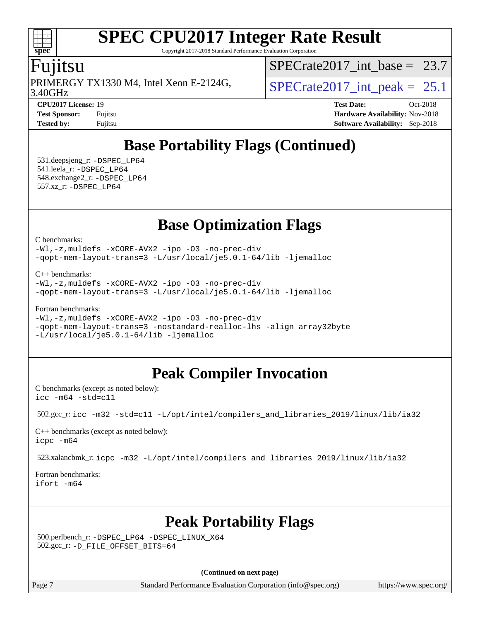Copyright 2017-2018 Standard Performance Evaluation Corporation

### Fujitsu

**[spec](http://www.spec.org/)**

 $\pm\pm$ 

3.40GHz PRIMERGY TX1330 M4, Intel Xeon E-2124G,  $\vert$  SPECrate 2017 int peak = 25.1

SPECrate2017 int\_base =  $23.7$ 

**[CPU2017 License:](http://www.spec.org/auto/cpu2017/Docs/result-fields.html#CPU2017License)** 19 **[Test Date:](http://www.spec.org/auto/cpu2017/Docs/result-fields.html#TestDate)** Oct-2018 **[Test Sponsor:](http://www.spec.org/auto/cpu2017/Docs/result-fields.html#TestSponsor)** Fujitsu **[Hardware Availability:](http://www.spec.org/auto/cpu2017/Docs/result-fields.html#HardwareAvailability)** Nov-2018 **[Tested by:](http://www.spec.org/auto/cpu2017/Docs/result-fields.html#Testedby)** Fujitsu **[Software Availability:](http://www.spec.org/auto/cpu2017/Docs/result-fields.html#SoftwareAvailability)** Sep-2018

# **[Base Portability Flags \(Continued\)](http://www.spec.org/auto/cpu2017/Docs/result-fields.html#BasePortabilityFlags)**

 531.deepsjeng\_r: [-DSPEC\\_LP64](http://www.spec.org/cpu2017/results/res2018q4/cpu2017-20181030-09463.flags.html#suite_basePORTABILITY531_deepsjeng_r_DSPEC_LP64) 541.leela\_r: [-DSPEC\\_LP64](http://www.spec.org/cpu2017/results/res2018q4/cpu2017-20181030-09463.flags.html#suite_basePORTABILITY541_leela_r_DSPEC_LP64) 548.exchange2\_r: [-DSPEC\\_LP64](http://www.spec.org/cpu2017/results/res2018q4/cpu2017-20181030-09463.flags.html#suite_basePORTABILITY548_exchange2_r_DSPEC_LP64) 557.xz\_r: [-DSPEC\\_LP64](http://www.spec.org/cpu2017/results/res2018q4/cpu2017-20181030-09463.flags.html#suite_basePORTABILITY557_xz_r_DSPEC_LP64)

### **[Base Optimization Flags](http://www.spec.org/auto/cpu2017/Docs/result-fields.html#BaseOptimizationFlags)**

[C benchmarks](http://www.spec.org/auto/cpu2017/Docs/result-fields.html#Cbenchmarks):

[-Wl,-z,muldefs](http://www.spec.org/cpu2017/results/res2018q4/cpu2017-20181030-09463.flags.html#user_CCbase_link_force_multiple1_b4cbdb97b34bdee9ceefcfe54f4c8ea74255f0b02a4b23e853cdb0e18eb4525ac79b5a88067c842dd0ee6996c24547a27a4b99331201badda8798ef8a743f577) [-xCORE-AVX2](http://www.spec.org/cpu2017/results/res2018q4/cpu2017-20181030-09463.flags.html#user_CCbase_f-xCORE-AVX2) [-ipo](http://www.spec.org/cpu2017/results/res2018q4/cpu2017-20181030-09463.flags.html#user_CCbase_f-ipo) [-O3](http://www.spec.org/cpu2017/results/res2018q4/cpu2017-20181030-09463.flags.html#user_CCbase_f-O3) [-no-prec-div](http://www.spec.org/cpu2017/results/res2018q4/cpu2017-20181030-09463.flags.html#user_CCbase_f-no-prec-div) [-qopt-mem-layout-trans=3](http://www.spec.org/cpu2017/results/res2018q4/cpu2017-20181030-09463.flags.html#user_CCbase_f-qopt-mem-layout-trans_de80db37974c74b1f0e20d883f0b675c88c3b01e9d123adea9b28688d64333345fb62bc4a798493513fdb68f60282f9a726aa07f478b2f7113531aecce732043) [-L/usr/local/je5.0.1-64/lib](http://www.spec.org/cpu2017/results/res2018q4/cpu2017-20181030-09463.flags.html#user_CCbase_jemalloc_link_path64_4b10a636b7bce113509b17f3bd0d6226c5fb2346b9178c2d0232c14f04ab830f976640479e5c33dc2bcbbdad86ecfb6634cbbd4418746f06f368b512fced5394) [-ljemalloc](http://www.spec.org/cpu2017/results/res2018q4/cpu2017-20181030-09463.flags.html#user_CCbase_jemalloc_link_lib_d1249b907c500fa1c0672f44f562e3d0f79738ae9e3c4a9c376d49f265a04b9c99b167ecedbf6711b3085be911c67ff61f150a17b3472be731631ba4d0471706)

[C++ benchmarks:](http://www.spec.org/auto/cpu2017/Docs/result-fields.html#CXXbenchmarks)

```
-Wl,-z,muldefs -xCORE-AVX2 -ipo -O3 -no-prec-div
-qopt-mem-layout-trans=3 -L/usr/local/je5.0.1-64/lib -ljemalloc
```
[Fortran benchmarks](http://www.spec.org/auto/cpu2017/Docs/result-fields.html#Fortranbenchmarks):

```
-Wl,-z,muldefs -xCORE-AVX2 -ipo -O3 -no-prec-div
-qopt-mem-layout-trans=3 -nostandard-realloc-lhs -align array32byte
-L/usr/local/je5.0.1-64/lib -ljemalloc
```
# **[Peak Compiler Invocation](http://www.spec.org/auto/cpu2017/Docs/result-fields.html#PeakCompilerInvocation)**

[C benchmarks \(except as noted below\)](http://www.spec.org/auto/cpu2017/Docs/result-fields.html#Cbenchmarksexceptasnotedbelow): [icc -m64 -std=c11](http://www.spec.org/cpu2017/results/res2018q4/cpu2017-20181030-09463.flags.html#user_CCpeak_intel_icc_64bit_c11_33ee0cdaae7deeeab2a9725423ba97205ce30f63b9926c2519791662299b76a0318f32ddfffdc46587804de3178b4f9328c46fa7c2b0cd779d7a61945c91cd35)

502.gcc\_r: [icc -m32 -std=c11 -L/opt/intel/compilers\\_and\\_libraries\\_2019/linux/lib/ia32](http://www.spec.org/cpu2017/results/res2018q4/cpu2017-20181030-09463.flags.html#user_peakCCLD502_gcc_r_intel_icc_359a3496d7d64e94fd241b0fefbeabeb20f8603fdc5e80014934380a87abe54d3b265a1c8de0432e5343699d5bf10187de2429efaebc896d56384bcf35c3c77d)

[C++ benchmarks \(except as noted below\):](http://www.spec.org/auto/cpu2017/Docs/result-fields.html#CXXbenchmarksexceptasnotedbelow) [icpc -m64](http://www.spec.org/cpu2017/results/res2018q4/cpu2017-20181030-09463.flags.html#user_CXXpeak_intel_icpc_64bit_4ecb2543ae3f1412ef961e0650ca070fec7b7afdcd6ed48761b84423119d1bf6bdf5cad15b44d48e7256388bc77273b966e5eb805aefd121eb22e9299b2ec9d9)

523.xalancbmk\_r: [icpc -m32 -L/opt/intel/compilers\\_and\\_libraries\\_2019/linux/lib/ia32](http://www.spec.org/cpu2017/results/res2018q4/cpu2017-20181030-09463.flags.html#user_peakCXXLD523_xalancbmk_r_intel_icpc_734b3338147624d5d6357d4d8186dbe167c0eb0ff44ddda30c08e4548af37ddd399fcaabea1b828fae60ea17548654bb05c65e01eb6a7ffb1b5faea19f35a860)

[Fortran benchmarks](http://www.spec.org/auto/cpu2017/Docs/result-fields.html#Fortranbenchmarks): [ifort -m64](http://www.spec.org/cpu2017/results/res2018q4/cpu2017-20181030-09463.flags.html#user_FCpeak_intel_ifort_64bit_24f2bb282fbaeffd6157abe4f878425411749daecae9a33200eee2bee2fe76f3b89351d69a8130dd5949958ce389cf37ff59a95e7a40d588e8d3a57e0c3fd751)

# **[Peak Portability Flags](http://www.spec.org/auto/cpu2017/Docs/result-fields.html#PeakPortabilityFlags)**

 500.perlbench\_r: [-DSPEC\\_LP64](http://www.spec.org/cpu2017/results/res2018q4/cpu2017-20181030-09463.flags.html#b500.perlbench_r_peakPORTABILITY_DSPEC_LP64) [-DSPEC\\_LINUX\\_X64](http://www.spec.org/cpu2017/results/res2018q4/cpu2017-20181030-09463.flags.html#b500.perlbench_r_peakCPORTABILITY_DSPEC_LINUX_X64) 502.gcc\_r: [-D\\_FILE\\_OFFSET\\_BITS=64](http://www.spec.org/cpu2017/results/res2018q4/cpu2017-20181030-09463.flags.html#user_peakPORTABILITY502_gcc_r_file_offset_bits_64_5ae949a99b284ddf4e95728d47cb0843d81b2eb0e18bdfe74bbf0f61d0b064f4bda2f10ea5eb90e1dcab0e84dbc592acfc5018bc955c18609f94ddb8d550002c)

**(Continued on next page)**

Page 7 Standard Performance Evaluation Corporation [\(info@spec.org\)](mailto:info@spec.org) <https://www.spec.org/>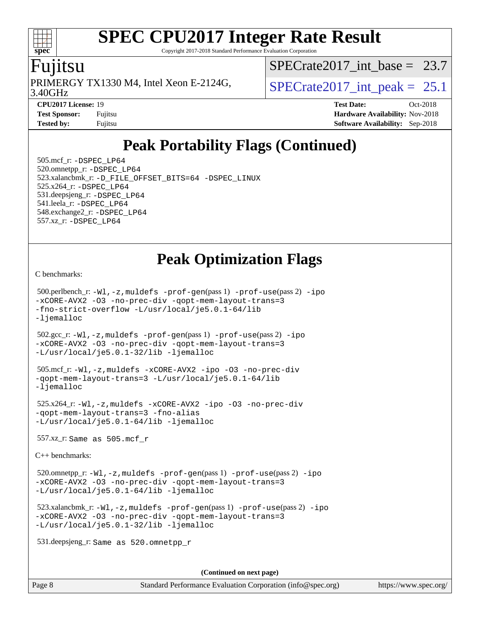Copyright 2017-2018 Standard Performance Evaluation Corporation

### Fujitsu

**[spec](http://www.spec.org/)**

 $+\ +$ 

3.40GHz PRIMERGY TX1330 M4, Intel Xeon E-2124G,  $\vert$  SPECrate 2017 int peak = 25.1

[SPECrate2017\\_int\\_base =](http://www.spec.org/auto/cpu2017/Docs/result-fields.html#SPECrate2017intbase) 23.7

**[CPU2017 License:](http://www.spec.org/auto/cpu2017/Docs/result-fields.html#CPU2017License)** 19 **[Test Date:](http://www.spec.org/auto/cpu2017/Docs/result-fields.html#TestDate)** Oct-2018 **[Test Sponsor:](http://www.spec.org/auto/cpu2017/Docs/result-fields.html#TestSponsor)** Fujitsu **Fundal** Fujitsu **[Hardware Availability:](http://www.spec.org/auto/cpu2017/Docs/result-fields.html#HardwareAvailability)** Nov-2018 **[Tested by:](http://www.spec.org/auto/cpu2017/Docs/result-fields.html#Testedby)** Fujitsu **[Software Availability:](http://www.spec.org/auto/cpu2017/Docs/result-fields.html#SoftwareAvailability)** Sep-2018

# **[Peak Portability Flags \(Continued\)](http://www.spec.org/auto/cpu2017/Docs/result-fields.html#PeakPortabilityFlags)**

 505.mcf\_r: [-DSPEC\\_LP64](http://www.spec.org/cpu2017/results/res2018q4/cpu2017-20181030-09463.flags.html#suite_peakPORTABILITY505_mcf_r_DSPEC_LP64) 520.omnetpp\_r: [-DSPEC\\_LP64](http://www.spec.org/cpu2017/results/res2018q4/cpu2017-20181030-09463.flags.html#suite_peakPORTABILITY520_omnetpp_r_DSPEC_LP64) 523.xalancbmk\_r: [-D\\_FILE\\_OFFSET\\_BITS=64](http://www.spec.org/cpu2017/results/res2018q4/cpu2017-20181030-09463.flags.html#user_peakPORTABILITY523_xalancbmk_r_file_offset_bits_64_5ae949a99b284ddf4e95728d47cb0843d81b2eb0e18bdfe74bbf0f61d0b064f4bda2f10ea5eb90e1dcab0e84dbc592acfc5018bc955c18609f94ddb8d550002c) [-DSPEC\\_LINUX](http://www.spec.org/cpu2017/results/res2018q4/cpu2017-20181030-09463.flags.html#b523.xalancbmk_r_peakCXXPORTABILITY_DSPEC_LINUX) 525.x264\_r: [-DSPEC\\_LP64](http://www.spec.org/cpu2017/results/res2018q4/cpu2017-20181030-09463.flags.html#suite_peakPORTABILITY525_x264_r_DSPEC_LP64) 531.deepsjeng\_r: [-DSPEC\\_LP64](http://www.spec.org/cpu2017/results/res2018q4/cpu2017-20181030-09463.flags.html#suite_peakPORTABILITY531_deepsjeng_r_DSPEC_LP64) 541.leela\_r: [-DSPEC\\_LP64](http://www.spec.org/cpu2017/results/res2018q4/cpu2017-20181030-09463.flags.html#suite_peakPORTABILITY541_leela_r_DSPEC_LP64) 548.exchange2\_r: [-DSPEC\\_LP64](http://www.spec.org/cpu2017/results/res2018q4/cpu2017-20181030-09463.flags.html#suite_peakPORTABILITY548_exchange2_r_DSPEC_LP64) 557.xz\_r: [-DSPEC\\_LP64](http://www.spec.org/cpu2017/results/res2018q4/cpu2017-20181030-09463.flags.html#suite_peakPORTABILITY557_xz_r_DSPEC_LP64)

### **[Peak Optimization Flags](http://www.spec.org/auto/cpu2017/Docs/result-fields.html#PeakOptimizationFlags)**

[C benchmarks](http://www.spec.org/auto/cpu2017/Docs/result-fields.html#Cbenchmarks):

 500.perlbench\_r: [-Wl,-z,muldefs](http://www.spec.org/cpu2017/results/res2018q4/cpu2017-20181030-09463.flags.html#user_peakEXTRA_LDFLAGS500_perlbench_r_link_force_multiple1_b4cbdb97b34bdee9ceefcfe54f4c8ea74255f0b02a4b23e853cdb0e18eb4525ac79b5a88067c842dd0ee6996c24547a27a4b99331201badda8798ef8a743f577) [-prof-gen](http://www.spec.org/cpu2017/results/res2018q4/cpu2017-20181030-09463.flags.html#user_peakPASS1_CFLAGSPASS1_LDFLAGS500_perlbench_r_prof_gen_5aa4926d6013ddb2a31985c654b3eb18169fc0c6952a63635c234f711e6e63dd76e94ad52365559451ec499a2cdb89e4dc58ba4c67ef54ca681ffbe1461d6b36)(pass 1) [-prof-use](http://www.spec.org/cpu2017/results/res2018q4/cpu2017-20181030-09463.flags.html#user_peakPASS2_CFLAGSPASS2_LDFLAGS500_perlbench_r_prof_use_1a21ceae95f36a2b53c25747139a6c16ca95bd9def2a207b4f0849963b97e94f5260e30a0c64f4bb623698870e679ca08317ef8150905d41bd88c6f78df73f19)(pass 2) [-ipo](http://www.spec.org/cpu2017/results/res2018q4/cpu2017-20181030-09463.flags.html#user_peakPASS1_COPTIMIZEPASS2_COPTIMIZE500_perlbench_r_f-ipo) [-xCORE-AVX2](http://www.spec.org/cpu2017/results/res2018q4/cpu2017-20181030-09463.flags.html#user_peakPASS2_COPTIMIZE500_perlbench_r_f-xCORE-AVX2) [-O3](http://www.spec.org/cpu2017/results/res2018q4/cpu2017-20181030-09463.flags.html#user_peakPASS1_COPTIMIZEPASS2_COPTIMIZE500_perlbench_r_f-O3) [-no-prec-div](http://www.spec.org/cpu2017/results/res2018q4/cpu2017-20181030-09463.flags.html#user_peakPASS1_COPTIMIZEPASS2_COPTIMIZE500_perlbench_r_f-no-prec-div) [-qopt-mem-layout-trans=3](http://www.spec.org/cpu2017/results/res2018q4/cpu2017-20181030-09463.flags.html#user_peakPASS1_COPTIMIZEPASS2_COPTIMIZE500_perlbench_r_f-qopt-mem-layout-trans_de80db37974c74b1f0e20d883f0b675c88c3b01e9d123adea9b28688d64333345fb62bc4a798493513fdb68f60282f9a726aa07f478b2f7113531aecce732043) [-fno-strict-overflow](http://www.spec.org/cpu2017/results/res2018q4/cpu2017-20181030-09463.flags.html#user_peakEXTRA_OPTIMIZE500_perlbench_r_f-fno-strict-overflow) [-L/usr/local/je5.0.1-64/lib](http://www.spec.org/cpu2017/results/res2018q4/cpu2017-20181030-09463.flags.html#user_peakEXTRA_LIBS500_perlbench_r_jemalloc_link_path64_4b10a636b7bce113509b17f3bd0d6226c5fb2346b9178c2d0232c14f04ab830f976640479e5c33dc2bcbbdad86ecfb6634cbbd4418746f06f368b512fced5394) [-ljemalloc](http://www.spec.org/cpu2017/results/res2018q4/cpu2017-20181030-09463.flags.html#user_peakEXTRA_LIBS500_perlbench_r_jemalloc_link_lib_d1249b907c500fa1c0672f44f562e3d0f79738ae9e3c4a9c376d49f265a04b9c99b167ecedbf6711b3085be911c67ff61f150a17b3472be731631ba4d0471706)

 502.gcc\_r: [-Wl,-z,muldefs](http://www.spec.org/cpu2017/results/res2018q4/cpu2017-20181030-09463.flags.html#user_peakEXTRA_LDFLAGS502_gcc_r_link_force_multiple1_b4cbdb97b34bdee9ceefcfe54f4c8ea74255f0b02a4b23e853cdb0e18eb4525ac79b5a88067c842dd0ee6996c24547a27a4b99331201badda8798ef8a743f577) [-prof-gen](http://www.spec.org/cpu2017/results/res2018q4/cpu2017-20181030-09463.flags.html#user_peakPASS1_CFLAGSPASS1_LDFLAGS502_gcc_r_prof_gen_5aa4926d6013ddb2a31985c654b3eb18169fc0c6952a63635c234f711e6e63dd76e94ad52365559451ec499a2cdb89e4dc58ba4c67ef54ca681ffbe1461d6b36)(pass 1) [-prof-use](http://www.spec.org/cpu2017/results/res2018q4/cpu2017-20181030-09463.flags.html#user_peakPASS2_CFLAGSPASS2_LDFLAGS502_gcc_r_prof_use_1a21ceae95f36a2b53c25747139a6c16ca95bd9def2a207b4f0849963b97e94f5260e30a0c64f4bb623698870e679ca08317ef8150905d41bd88c6f78df73f19)(pass 2) [-ipo](http://www.spec.org/cpu2017/results/res2018q4/cpu2017-20181030-09463.flags.html#user_peakPASS1_COPTIMIZEPASS2_COPTIMIZE502_gcc_r_f-ipo) [-xCORE-AVX2](http://www.spec.org/cpu2017/results/res2018q4/cpu2017-20181030-09463.flags.html#user_peakPASS2_COPTIMIZE502_gcc_r_f-xCORE-AVX2) [-O3](http://www.spec.org/cpu2017/results/res2018q4/cpu2017-20181030-09463.flags.html#user_peakPASS1_COPTIMIZEPASS2_COPTIMIZE502_gcc_r_f-O3) [-no-prec-div](http://www.spec.org/cpu2017/results/res2018q4/cpu2017-20181030-09463.flags.html#user_peakPASS1_COPTIMIZEPASS2_COPTIMIZE502_gcc_r_f-no-prec-div) [-qopt-mem-layout-trans=3](http://www.spec.org/cpu2017/results/res2018q4/cpu2017-20181030-09463.flags.html#user_peakPASS1_COPTIMIZEPASS2_COPTIMIZE502_gcc_r_f-qopt-mem-layout-trans_de80db37974c74b1f0e20d883f0b675c88c3b01e9d123adea9b28688d64333345fb62bc4a798493513fdb68f60282f9a726aa07f478b2f7113531aecce732043) [-L/usr/local/je5.0.1-32/lib](http://www.spec.org/cpu2017/results/res2018q4/cpu2017-20181030-09463.flags.html#user_peakEXTRA_LIBS502_gcc_r_jemalloc_link_path32_e29f22e8e6c17053bbc6a0971f5a9c01a601a06bb1a59df2084b77a2fe0a2995b64fd4256feaeea39eeba3aae142e96e2b2b0a28974019c0c0c88139a84f900a) [-ljemalloc](http://www.spec.org/cpu2017/results/res2018q4/cpu2017-20181030-09463.flags.html#user_peakEXTRA_LIBS502_gcc_r_jemalloc_link_lib_d1249b907c500fa1c0672f44f562e3d0f79738ae9e3c4a9c376d49f265a04b9c99b167ecedbf6711b3085be911c67ff61f150a17b3472be731631ba4d0471706)

 505.mcf\_r: [-Wl,-z,muldefs](http://www.spec.org/cpu2017/results/res2018q4/cpu2017-20181030-09463.flags.html#user_peakEXTRA_LDFLAGS505_mcf_r_link_force_multiple1_b4cbdb97b34bdee9ceefcfe54f4c8ea74255f0b02a4b23e853cdb0e18eb4525ac79b5a88067c842dd0ee6996c24547a27a4b99331201badda8798ef8a743f577) [-xCORE-AVX2](http://www.spec.org/cpu2017/results/res2018q4/cpu2017-20181030-09463.flags.html#user_peakCOPTIMIZE505_mcf_r_f-xCORE-AVX2) [-ipo](http://www.spec.org/cpu2017/results/res2018q4/cpu2017-20181030-09463.flags.html#user_peakCOPTIMIZE505_mcf_r_f-ipo) [-O3](http://www.spec.org/cpu2017/results/res2018q4/cpu2017-20181030-09463.flags.html#user_peakCOPTIMIZE505_mcf_r_f-O3) [-no-prec-div](http://www.spec.org/cpu2017/results/res2018q4/cpu2017-20181030-09463.flags.html#user_peakCOPTIMIZE505_mcf_r_f-no-prec-div) [-qopt-mem-layout-trans=3](http://www.spec.org/cpu2017/results/res2018q4/cpu2017-20181030-09463.flags.html#user_peakCOPTIMIZE505_mcf_r_f-qopt-mem-layout-trans_de80db37974c74b1f0e20d883f0b675c88c3b01e9d123adea9b28688d64333345fb62bc4a798493513fdb68f60282f9a726aa07f478b2f7113531aecce732043) [-L/usr/local/je5.0.1-64/lib](http://www.spec.org/cpu2017/results/res2018q4/cpu2017-20181030-09463.flags.html#user_peakEXTRA_LIBS505_mcf_r_jemalloc_link_path64_4b10a636b7bce113509b17f3bd0d6226c5fb2346b9178c2d0232c14f04ab830f976640479e5c33dc2bcbbdad86ecfb6634cbbd4418746f06f368b512fced5394) [-ljemalloc](http://www.spec.org/cpu2017/results/res2018q4/cpu2017-20181030-09463.flags.html#user_peakEXTRA_LIBS505_mcf_r_jemalloc_link_lib_d1249b907c500fa1c0672f44f562e3d0f79738ae9e3c4a9c376d49f265a04b9c99b167ecedbf6711b3085be911c67ff61f150a17b3472be731631ba4d0471706)

 525.x264\_r: [-Wl,-z,muldefs](http://www.spec.org/cpu2017/results/res2018q4/cpu2017-20181030-09463.flags.html#user_peakEXTRA_LDFLAGS525_x264_r_link_force_multiple1_b4cbdb97b34bdee9ceefcfe54f4c8ea74255f0b02a4b23e853cdb0e18eb4525ac79b5a88067c842dd0ee6996c24547a27a4b99331201badda8798ef8a743f577) [-xCORE-AVX2](http://www.spec.org/cpu2017/results/res2018q4/cpu2017-20181030-09463.flags.html#user_peakCOPTIMIZE525_x264_r_f-xCORE-AVX2) [-ipo](http://www.spec.org/cpu2017/results/res2018q4/cpu2017-20181030-09463.flags.html#user_peakCOPTIMIZE525_x264_r_f-ipo) [-O3](http://www.spec.org/cpu2017/results/res2018q4/cpu2017-20181030-09463.flags.html#user_peakCOPTIMIZE525_x264_r_f-O3) [-no-prec-div](http://www.spec.org/cpu2017/results/res2018q4/cpu2017-20181030-09463.flags.html#user_peakCOPTIMIZE525_x264_r_f-no-prec-div) [-qopt-mem-layout-trans=3](http://www.spec.org/cpu2017/results/res2018q4/cpu2017-20181030-09463.flags.html#user_peakCOPTIMIZE525_x264_r_f-qopt-mem-layout-trans_de80db37974c74b1f0e20d883f0b675c88c3b01e9d123adea9b28688d64333345fb62bc4a798493513fdb68f60282f9a726aa07f478b2f7113531aecce732043) [-fno-alias](http://www.spec.org/cpu2017/results/res2018q4/cpu2017-20181030-09463.flags.html#user_peakEXTRA_OPTIMIZE525_x264_r_f-no-alias_77dbac10d91cbfe898fbf4a29d1b29b694089caa623bdd1baccc9957d4edbe8d106c0b357e2748a65b44fc9e83d78098bb898077f3fe92f9faf24f7bd4a07ed7) [-L/usr/local/je5.0.1-64/lib](http://www.spec.org/cpu2017/results/res2018q4/cpu2017-20181030-09463.flags.html#user_peakEXTRA_LIBS525_x264_r_jemalloc_link_path64_4b10a636b7bce113509b17f3bd0d6226c5fb2346b9178c2d0232c14f04ab830f976640479e5c33dc2bcbbdad86ecfb6634cbbd4418746f06f368b512fced5394) [-ljemalloc](http://www.spec.org/cpu2017/results/res2018q4/cpu2017-20181030-09463.flags.html#user_peakEXTRA_LIBS525_x264_r_jemalloc_link_lib_d1249b907c500fa1c0672f44f562e3d0f79738ae9e3c4a9c376d49f265a04b9c99b167ecedbf6711b3085be911c67ff61f150a17b3472be731631ba4d0471706)

557.xz\_r: Same as 505.mcf\_r

[C++ benchmarks:](http://www.spec.org/auto/cpu2017/Docs/result-fields.html#CXXbenchmarks)

 520.omnetpp\_r: [-Wl,-z,muldefs](http://www.spec.org/cpu2017/results/res2018q4/cpu2017-20181030-09463.flags.html#user_peakEXTRA_LDFLAGS520_omnetpp_r_link_force_multiple1_b4cbdb97b34bdee9ceefcfe54f4c8ea74255f0b02a4b23e853cdb0e18eb4525ac79b5a88067c842dd0ee6996c24547a27a4b99331201badda8798ef8a743f577) [-prof-gen](http://www.spec.org/cpu2017/results/res2018q4/cpu2017-20181030-09463.flags.html#user_peakPASS1_CXXFLAGSPASS1_LDFLAGS520_omnetpp_r_prof_gen_5aa4926d6013ddb2a31985c654b3eb18169fc0c6952a63635c234f711e6e63dd76e94ad52365559451ec499a2cdb89e4dc58ba4c67ef54ca681ffbe1461d6b36)(pass 1) [-prof-use](http://www.spec.org/cpu2017/results/res2018q4/cpu2017-20181030-09463.flags.html#user_peakPASS2_CXXFLAGSPASS2_LDFLAGS520_omnetpp_r_prof_use_1a21ceae95f36a2b53c25747139a6c16ca95bd9def2a207b4f0849963b97e94f5260e30a0c64f4bb623698870e679ca08317ef8150905d41bd88c6f78df73f19)(pass 2) [-ipo](http://www.spec.org/cpu2017/results/res2018q4/cpu2017-20181030-09463.flags.html#user_peakPASS1_CXXOPTIMIZEPASS2_CXXOPTIMIZE520_omnetpp_r_f-ipo) [-xCORE-AVX2](http://www.spec.org/cpu2017/results/res2018q4/cpu2017-20181030-09463.flags.html#user_peakPASS2_CXXOPTIMIZE520_omnetpp_r_f-xCORE-AVX2) [-O3](http://www.spec.org/cpu2017/results/res2018q4/cpu2017-20181030-09463.flags.html#user_peakPASS1_CXXOPTIMIZEPASS2_CXXOPTIMIZE520_omnetpp_r_f-O3) [-no-prec-div](http://www.spec.org/cpu2017/results/res2018q4/cpu2017-20181030-09463.flags.html#user_peakPASS1_CXXOPTIMIZEPASS2_CXXOPTIMIZE520_omnetpp_r_f-no-prec-div) [-qopt-mem-layout-trans=3](http://www.spec.org/cpu2017/results/res2018q4/cpu2017-20181030-09463.flags.html#user_peakPASS1_CXXOPTIMIZEPASS2_CXXOPTIMIZE520_omnetpp_r_f-qopt-mem-layout-trans_de80db37974c74b1f0e20d883f0b675c88c3b01e9d123adea9b28688d64333345fb62bc4a798493513fdb68f60282f9a726aa07f478b2f7113531aecce732043) [-L/usr/local/je5.0.1-64/lib](http://www.spec.org/cpu2017/results/res2018q4/cpu2017-20181030-09463.flags.html#user_peakEXTRA_LIBS520_omnetpp_r_jemalloc_link_path64_4b10a636b7bce113509b17f3bd0d6226c5fb2346b9178c2d0232c14f04ab830f976640479e5c33dc2bcbbdad86ecfb6634cbbd4418746f06f368b512fced5394) [-ljemalloc](http://www.spec.org/cpu2017/results/res2018q4/cpu2017-20181030-09463.flags.html#user_peakEXTRA_LIBS520_omnetpp_r_jemalloc_link_lib_d1249b907c500fa1c0672f44f562e3d0f79738ae9e3c4a9c376d49f265a04b9c99b167ecedbf6711b3085be911c67ff61f150a17b3472be731631ba4d0471706)

 523.xalancbmk\_r: [-Wl,-z,muldefs](http://www.spec.org/cpu2017/results/res2018q4/cpu2017-20181030-09463.flags.html#user_peakEXTRA_LDFLAGS523_xalancbmk_r_link_force_multiple1_b4cbdb97b34bdee9ceefcfe54f4c8ea74255f0b02a4b23e853cdb0e18eb4525ac79b5a88067c842dd0ee6996c24547a27a4b99331201badda8798ef8a743f577) [-prof-gen](http://www.spec.org/cpu2017/results/res2018q4/cpu2017-20181030-09463.flags.html#user_peakPASS1_CXXFLAGSPASS1_LDFLAGS523_xalancbmk_r_prof_gen_5aa4926d6013ddb2a31985c654b3eb18169fc0c6952a63635c234f711e6e63dd76e94ad52365559451ec499a2cdb89e4dc58ba4c67ef54ca681ffbe1461d6b36)(pass 1) [-prof-use](http://www.spec.org/cpu2017/results/res2018q4/cpu2017-20181030-09463.flags.html#user_peakPASS2_CXXFLAGSPASS2_LDFLAGS523_xalancbmk_r_prof_use_1a21ceae95f36a2b53c25747139a6c16ca95bd9def2a207b4f0849963b97e94f5260e30a0c64f4bb623698870e679ca08317ef8150905d41bd88c6f78df73f19)(pass 2) [-ipo](http://www.spec.org/cpu2017/results/res2018q4/cpu2017-20181030-09463.flags.html#user_peakPASS1_CXXOPTIMIZEPASS2_CXXOPTIMIZE523_xalancbmk_r_f-ipo) [-xCORE-AVX2](http://www.spec.org/cpu2017/results/res2018q4/cpu2017-20181030-09463.flags.html#user_peakPASS2_CXXOPTIMIZE523_xalancbmk_r_f-xCORE-AVX2) [-O3](http://www.spec.org/cpu2017/results/res2018q4/cpu2017-20181030-09463.flags.html#user_peakPASS1_CXXOPTIMIZEPASS2_CXXOPTIMIZE523_xalancbmk_r_f-O3) [-no-prec-div](http://www.spec.org/cpu2017/results/res2018q4/cpu2017-20181030-09463.flags.html#user_peakPASS1_CXXOPTIMIZEPASS2_CXXOPTIMIZE523_xalancbmk_r_f-no-prec-div) [-qopt-mem-layout-trans=3](http://www.spec.org/cpu2017/results/res2018q4/cpu2017-20181030-09463.flags.html#user_peakPASS1_CXXOPTIMIZEPASS2_CXXOPTIMIZE523_xalancbmk_r_f-qopt-mem-layout-trans_de80db37974c74b1f0e20d883f0b675c88c3b01e9d123adea9b28688d64333345fb62bc4a798493513fdb68f60282f9a726aa07f478b2f7113531aecce732043) [-L/usr/local/je5.0.1-32/lib](http://www.spec.org/cpu2017/results/res2018q4/cpu2017-20181030-09463.flags.html#user_peakEXTRA_LIBS523_xalancbmk_r_jemalloc_link_path32_e29f22e8e6c17053bbc6a0971f5a9c01a601a06bb1a59df2084b77a2fe0a2995b64fd4256feaeea39eeba3aae142e96e2b2b0a28974019c0c0c88139a84f900a) [-ljemalloc](http://www.spec.org/cpu2017/results/res2018q4/cpu2017-20181030-09463.flags.html#user_peakEXTRA_LIBS523_xalancbmk_r_jemalloc_link_lib_d1249b907c500fa1c0672f44f562e3d0f79738ae9e3c4a9c376d49f265a04b9c99b167ecedbf6711b3085be911c67ff61f150a17b3472be731631ba4d0471706)

531.deepsjeng\_r: Same as 520.omnetpp\_r

**(Continued on next page)**